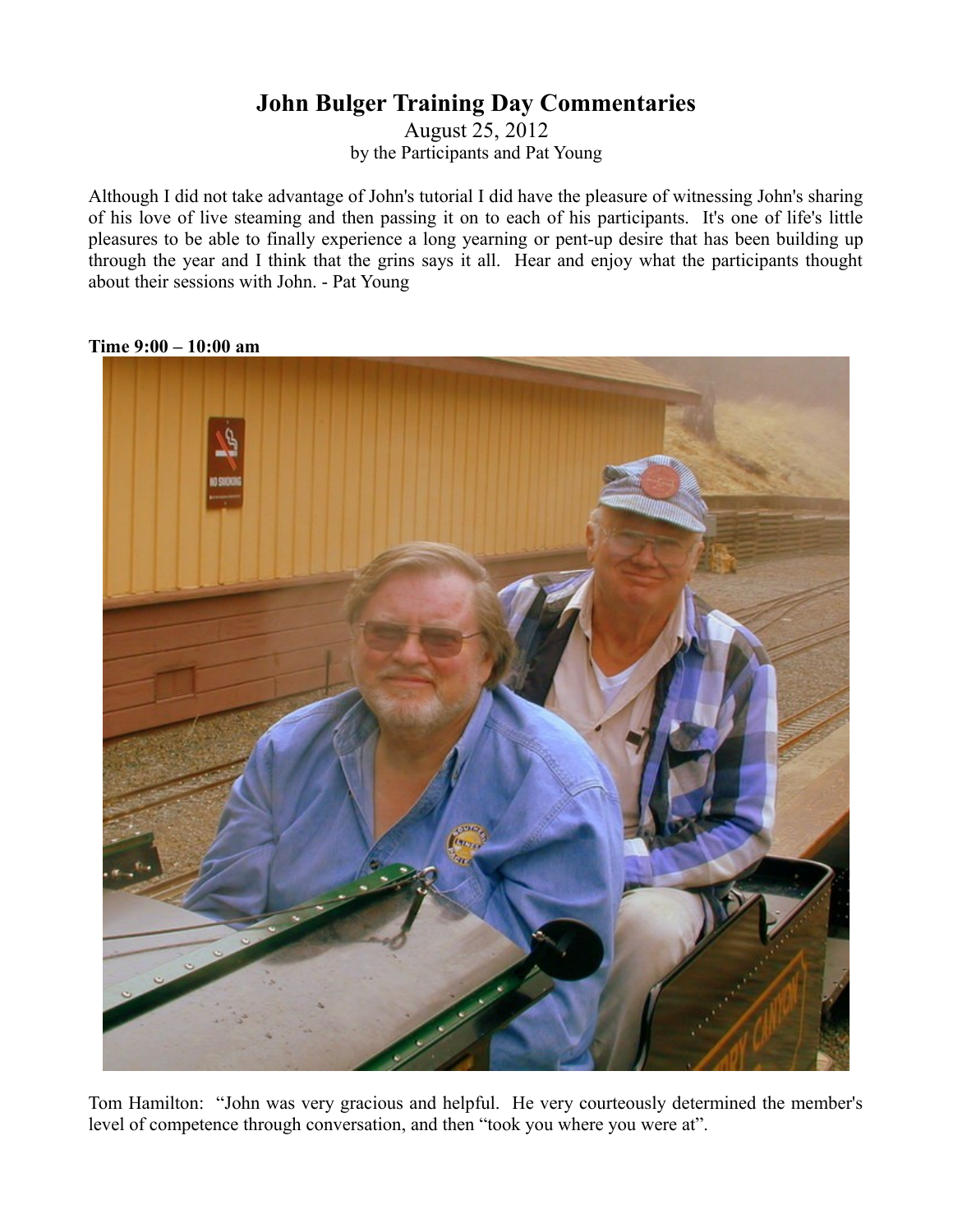## **John Bulger Training Day Commentaries**

August 25, 2012 by the Participants and Pat Young

Although I did not take advantage of John's tutorial I did have the pleasure of witnessing John's sharing of his love of live steaming and then passing it on to each of his participants. It's one of life's little pleasures to be able to finally experience a long yearning or pent-up desire that has been building up through the year and I think that the grins says it all. Hear and enjoy what the participants thought about their sessions with John. - Pat Young



**Time 9:00 – 10:00 am**

Tom Hamilton: "John was very gracious and helpful. He very courteously determined the member's level of competence through conversation, and then "took you where you were at".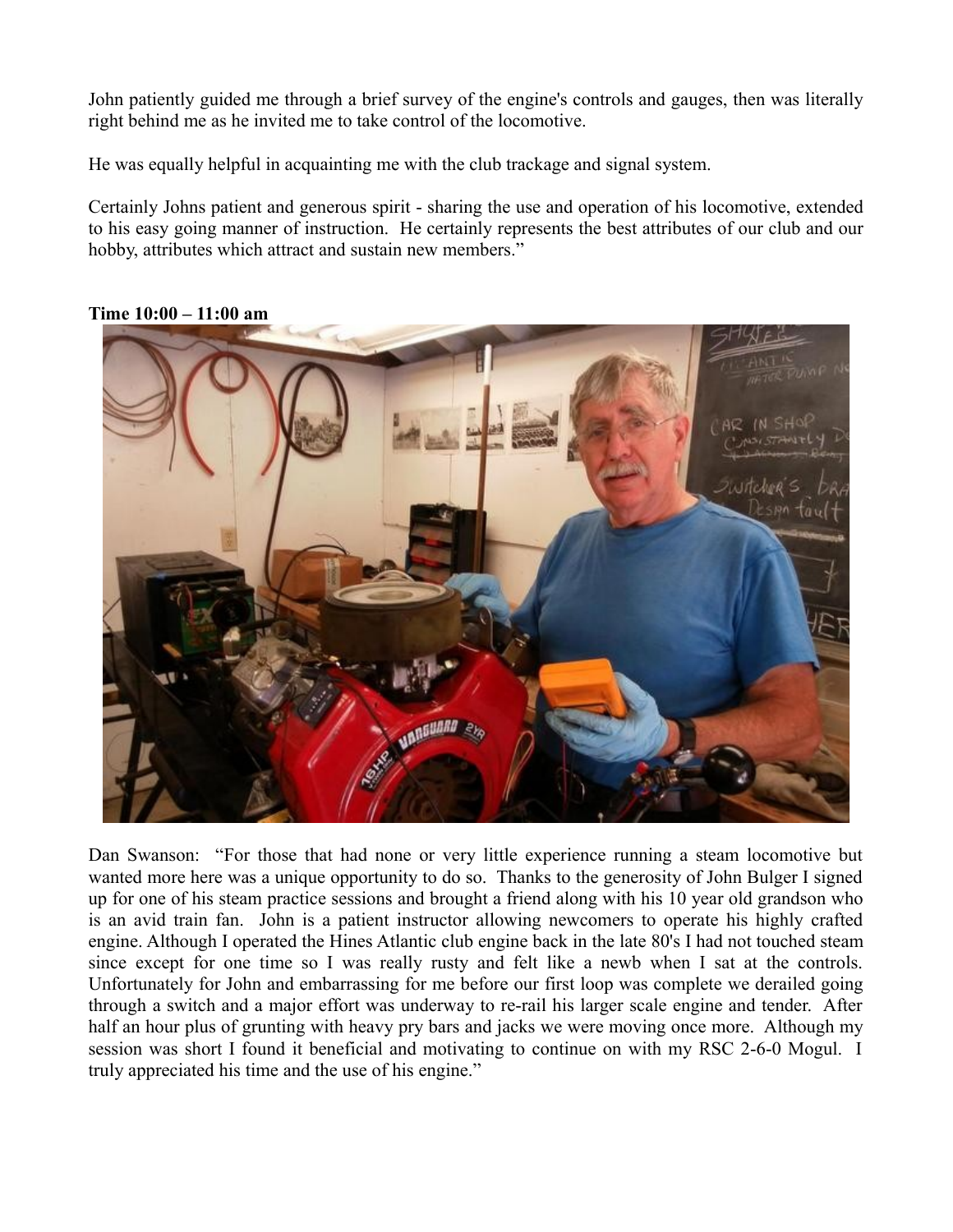John patiently guided me through a brief survey of the engine's controls and gauges, then was literally right behind me as he invited me to take control of the locomotive.

He was equally helpful in acquainting me with the club trackage and signal system.

Certainly Johns patient and generous spirit - sharing the use and operation of his locomotive, extended to his easy going manner of instruction. He certainly represents the best attributes of our club and our hobby, attributes which attract and sustain new members."



**Time 10:00 – 11:00 am**

Dan Swanson: "For those that had none or very little experience running a steam locomotive but wanted more here was a unique opportunity to do so. Thanks to the generosity of John Bulger I signed up for one of his steam practice sessions and brought a friend along with his 10 year old grandson who is an avid train fan. John is a patient instructor allowing newcomers to operate his highly crafted engine. Although I operated the Hines Atlantic club engine back in the late 80's I had not touched steam since except for one time so I was really rusty and felt like a newb when I sat at the controls. Unfortunately for John and embarrassing for me before our first loop was complete we derailed going through a switch and a major effort was underway to re-rail his larger scale engine and tender. After half an hour plus of grunting with heavy pry bars and jacks we were moving once more. Although my session was short I found it beneficial and motivating to continue on with my RSC 2-6-0 Mogul. I truly appreciated his time and the use of his engine."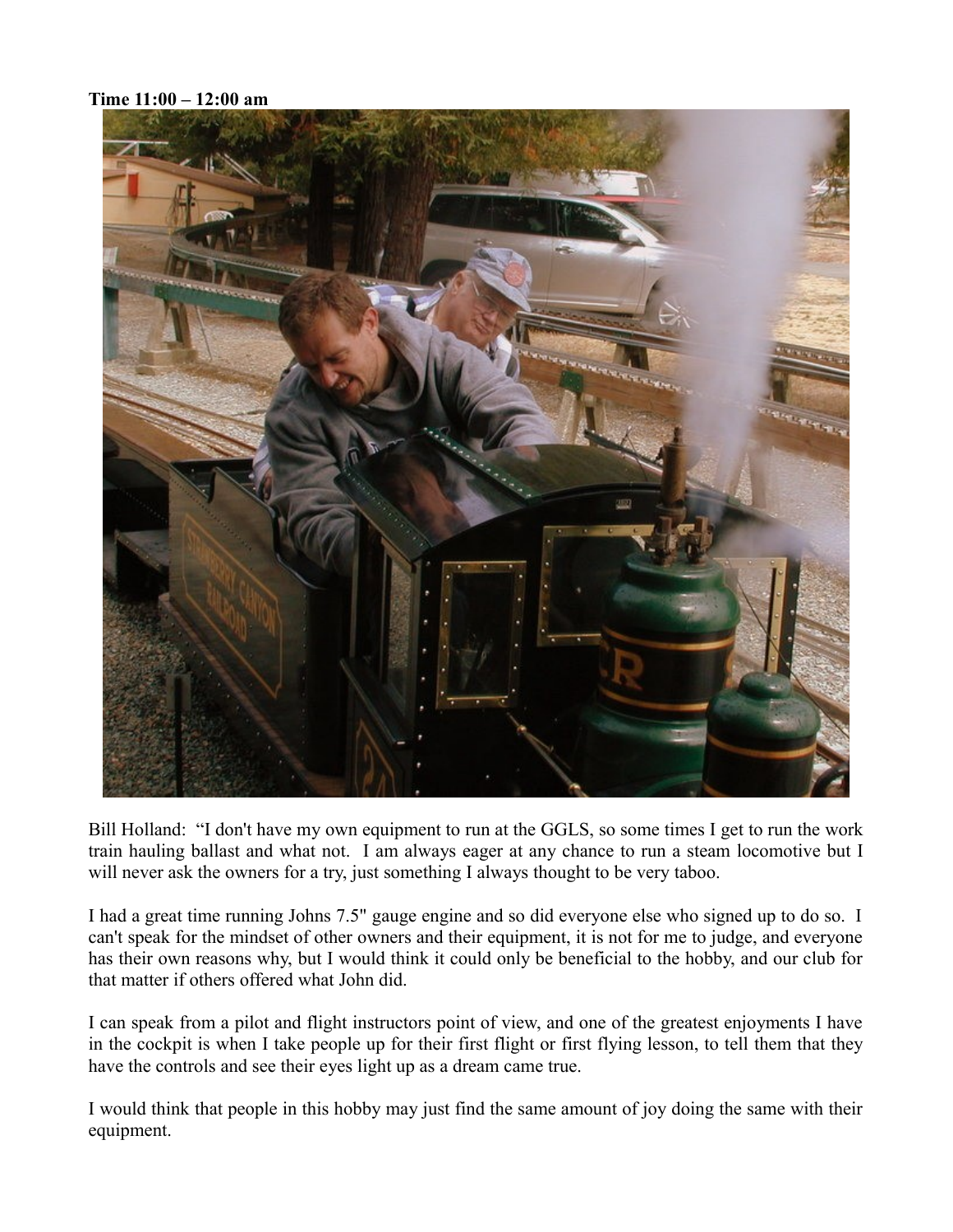**Time 11:00 – 12:00 am**



Bill Holland: "I don't have my own equipment to run at the GGLS, so some times I get to run the work train hauling ballast and what not. I am always eager at any chance to run a steam locomotive but I will never ask the owners for a try, just something I always thought to be very taboo.

I had a great time running Johns 7.5" gauge engine and so did everyone else who signed up to do so. I can't speak for the mindset of other owners and their equipment, it is not for me to judge, and everyone has their own reasons why, but I would think it could only be beneficial to the hobby, and our club for that matter if others offered what John did.

I can speak from a pilot and flight instructors point of view, and one of the greatest enjoyments I have in the cockpit is when I take people up for their first flight or first flying lesson, to tell them that they have the controls and see their eyes light up as a dream came true.

I would think that people in this hobby may just find the same amount of joy doing the same with their equipment.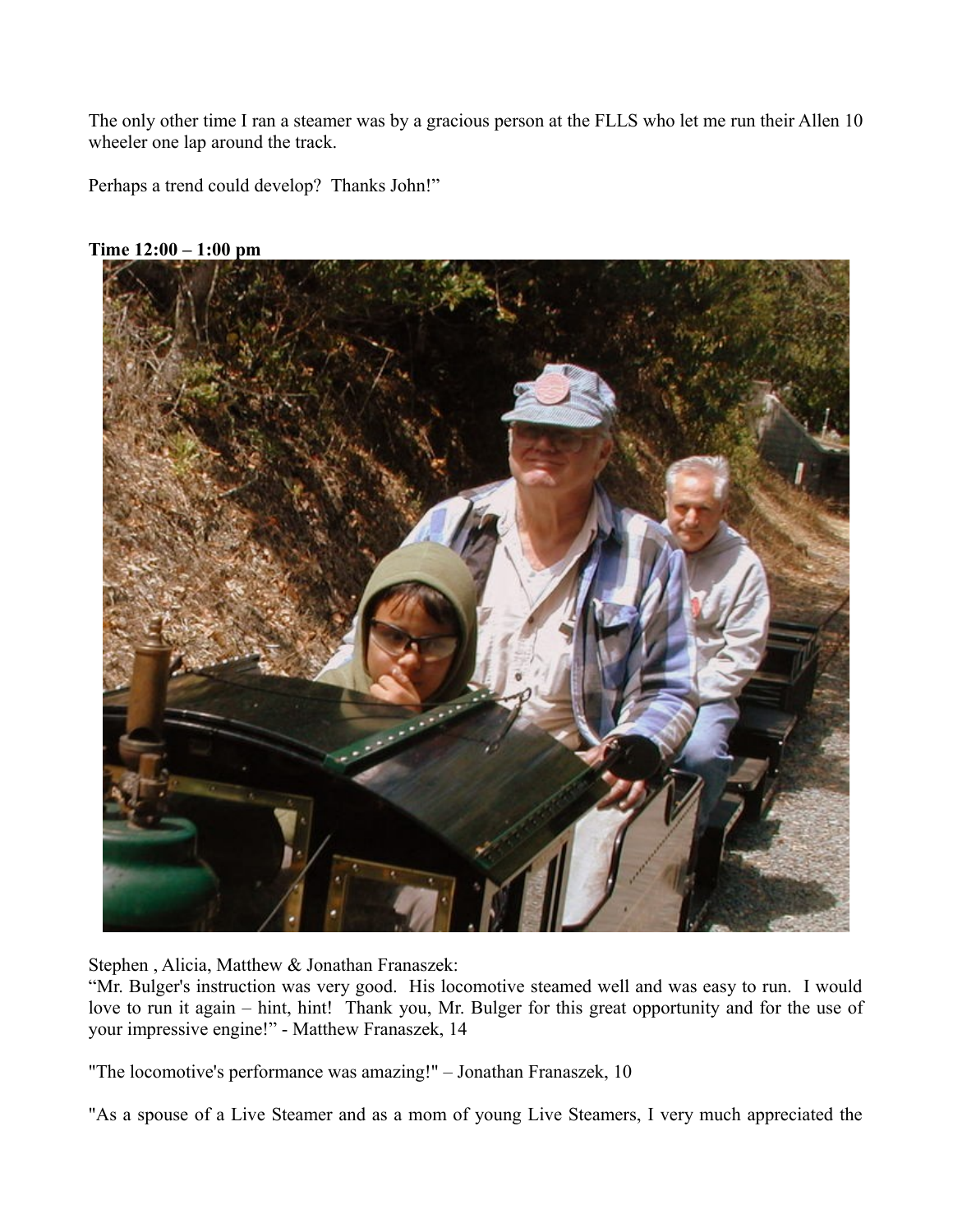The only other time I ran a steamer was by a gracious person at the FLLS who let me run their Allen 10 wheeler one lap around the track.

Perhaps a trend could develop? Thanks John!"



**Time 12:00 – 1:00 pm**

Stephen , Alicia, Matthew & Jonathan Franaszek:

"Mr. Bulger's instruction was very good. His locomotive steamed well and was easy to run. I would love to run it again – hint, hint! Thank you, Mr. Bulger for this great opportunity and for the use of your impressive engine!" - Matthew Franaszek, 14

"The locomotive's performance was amazing!" – Jonathan Franaszek, 10

"As a spouse of a Live Steamer and as a mom of young Live Steamers, I very much appreciated the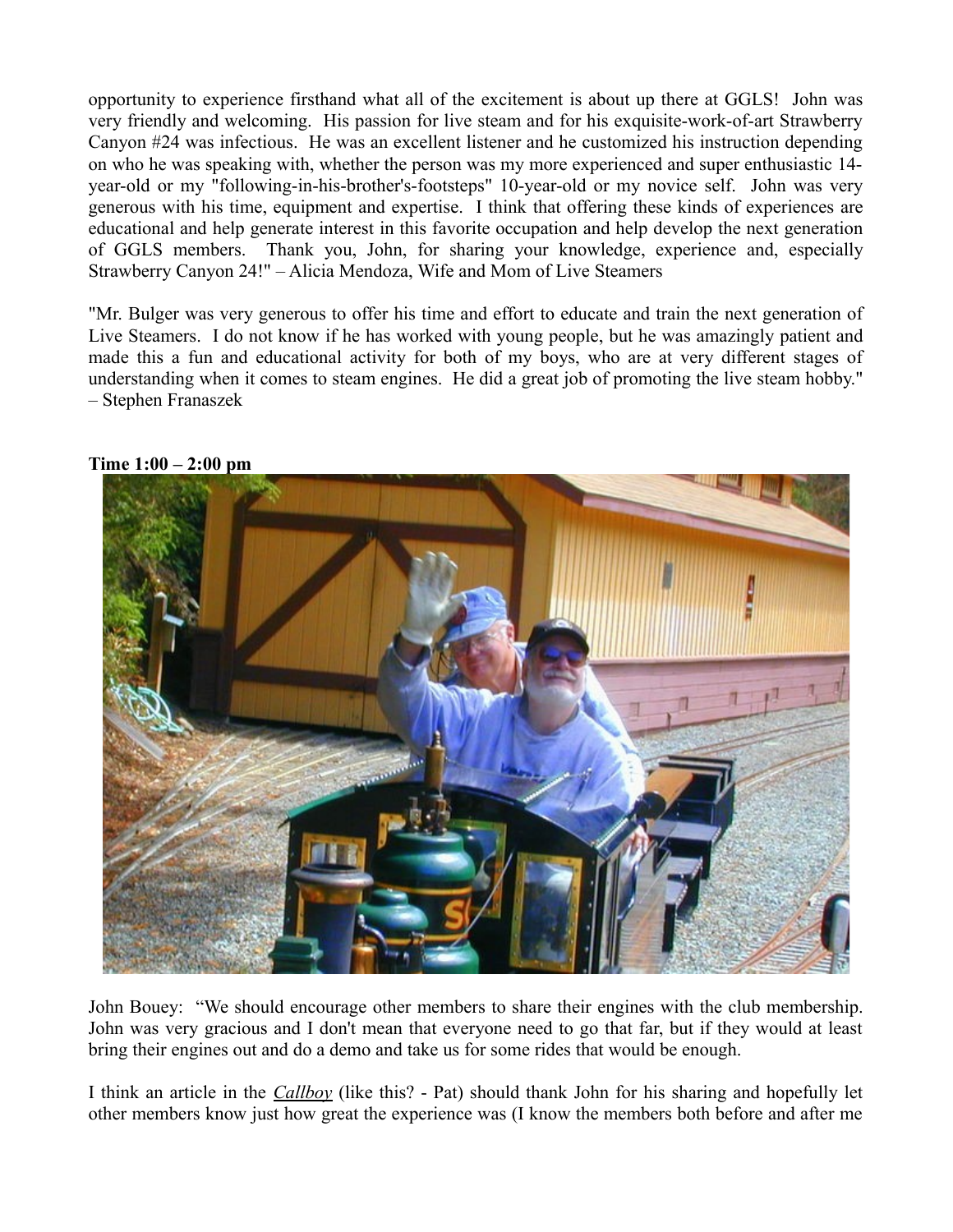opportunity to experience firsthand what all of the excitement is about up there at GGLS! John was very friendly and welcoming. His passion for live steam and for his exquisite-work-of-art Strawberry Canyon #24 was infectious. He was an excellent listener and he customized his instruction depending on who he was speaking with, whether the person was my more experienced and super enthusiastic 14 year-old or my "following-in-his-brother's-footsteps" 10-year-old or my novice self. John was very generous with his time, equipment and expertise. I think that offering these kinds of experiences are educational and help generate interest in this favorite occupation and help develop the next generation of GGLS members. Thank you, John, for sharing your knowledge, experience and, especially Strawberry Canyon 24!" – Alicia Mendoza, Wife and Mom of Live Steamers

"Mr. Bulger was very generous to offer his time and effort to educate and train the next generation of Live Steamers. I do not know if he has worked with young people, but he was amazingly patient and made this a fun and educational activity for both of my boys, who are at very different stages of understanding when it comes to steam engines. He did a great job of promoting the live steam hobby." – Stephen Franaszek



**Time 1:00 – 2:00 pm**

John Bouey: "We should encourage other members to share their engines with the club membership. John was very gracious and I don't mean that everyone need to go that far, but if they would at least bring their engines out and do a demo and take us for some rides that would be enough.

I think an article in the *Callboy* (like this? - Pat) should thank John for his sharing and hopefully let other members know just how great the experience was (I know the members both before and after me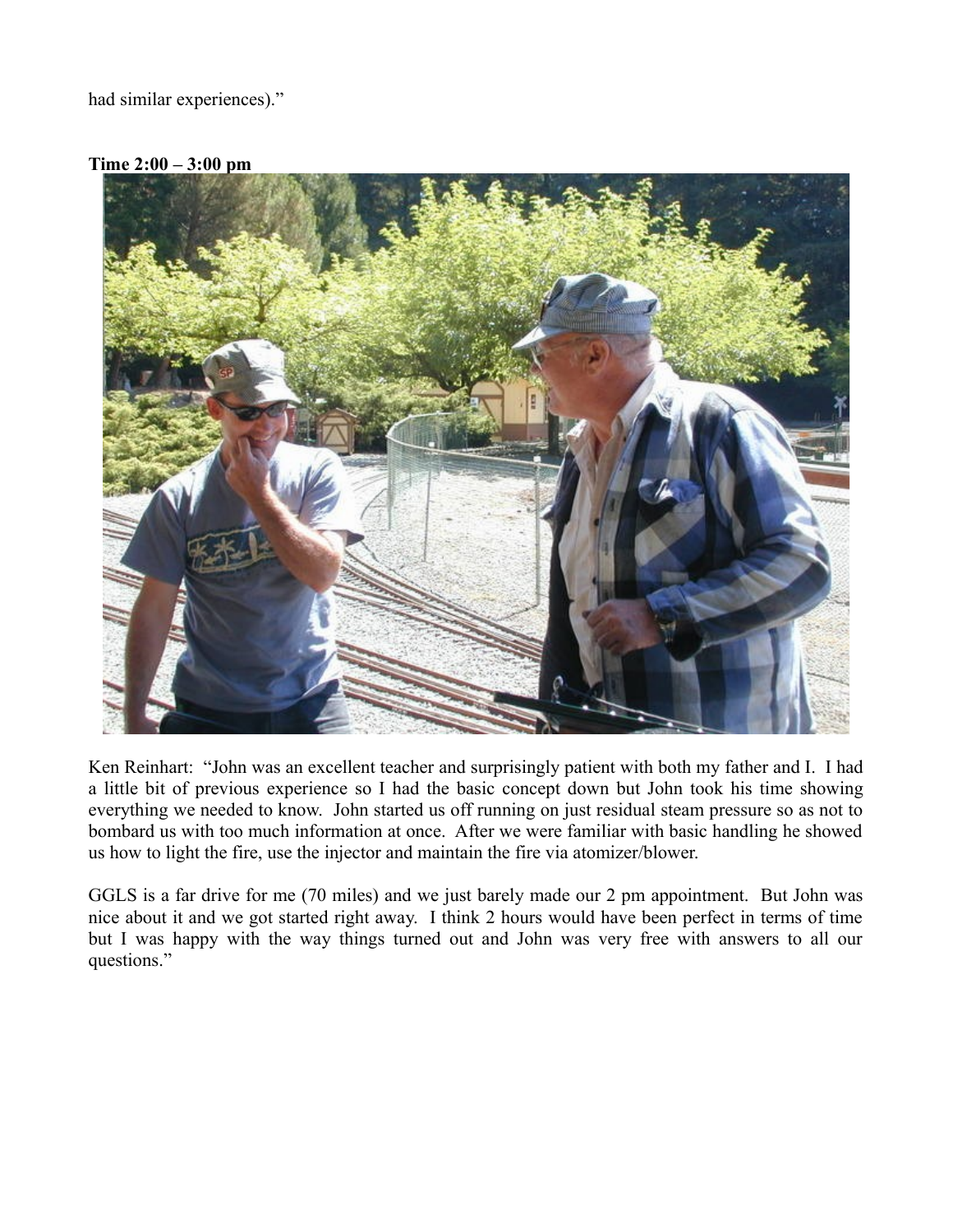had similar experiences)."



**Time 2:00 – 3:00 pm**

Ken Reinhart: "John was an excellent teacher and surprisingly patient with both my father and I. I had a little bit of previous experience so I had the basic concept down but John took his time showing everything we needed to know. John started us off running on just residual steam pressure so as not to bombard us with too much information at once. After we were familiar with basic handling he showed us how to light the fire, use the injector and maintain the fire via atomizer/blower.

GGLS is a far drive for me (70 miles) and we just barely made our 2 pm appointment. But John was nice about it and we got started right away. I think 2 hours would have been perfect in terms of time but I was happy with the way things turned out and John was very free with answers to all our questions."